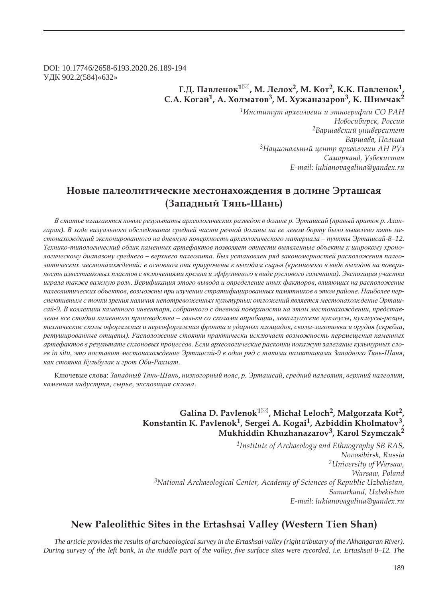DOI: 10.17746/2658-6193.2020.26.189-194 ɍȾɄ 902.2(584)«632»

## $\Gamma$ .Д. Павленок<sup>1⊠</sup>, М. Лелох<sup>2</sup>, М. Кот<sup>2</sup>, К.К. Павленок<sup>1</sup>, **ǿ.Ǯ. ǸȜȑȎȗ1, Ǯ. ȃȜșȚȎȠȜȐ3, Ǻ. ȃȡȔȎțȎȕȎȞȜȐ3, Ǹ. ȆȖȚȥȎȘ<sup>2</sup>**

*<sup>1</sup>ǶțȟȠȖȠȡȠ ȎȞȣȓȜșȜȑȖȖ Ȗ ȫȠțȜȑȞȎȢȖȖ ǿǼ ǾǮǻ*  $H$ овосибирск, Россия <sup>2</sup>Варшавский университет  $Ba$ риава, Польша *<sup>3</sup>ǻȎȤȖȜțȎșȪțȩȗ ȤȓțȠȞ ȎȞȣȓȜșȜȑȖȖ Ǯǻ Ǿȁȕ* Самарканд, Узбекистан *E-mail: lukianovagalina@yandex.ru*

# Новые палеолитические местонахождения в долине Эрташсая **(ǵȎȝȎȒțȩȗ ȀȭțȪ-ȆȎțȪ)**

В статье излагаются новые результаты археологических разведок в долине р. Эрташсай (правый приток р. Ахангаран). В ходе визуального обследования средней части речной долины на ее левом борту было выявлено пять местонахождений экспонированного на дневную поверхность археологического материала – пункты Эрташсай-8–12. Технико-типологический облик каменных артефактов позволяет отнести выявленные объекты к широкому хронологическому диапазону среднего - верхнего палеолита. Был установлен ряд закономерностей расположения палеолитических местонахождений: в основном они приурочены к выходам сырья (кремневого в виде выходов на поверх*ɧɨɫɬɶ ɢɡɜɟɫɬɧɹɤɨɜɵɯ ɩɥɚɫɬɨɜ ɫ ɜɤɥɸɱɟɧɢɹɦɢ ɤɪɟɦɧɹ ɢ ɷɮɮɭɡɢɜɧɨɝɨ ɜ ɜɢɞɟ ɪɭɫɥɨɜɨɝɨ ɝɚɥɟɱɧɢɤɚ). ɗɤɫɩɨɡɢɰɢɹ ɭɱɚɫɬɤɚ* играла также важную роль. Верификация этого вывода и определение иных факторов, влияющих на расположение палеолитических объектов, возможны при изучении стратифицированных памятников в этом районе. Наиболее перспективным с точки зрения наличия непотревоженных культурных отложений является местонахождение Эрташсай-9. В коллекции каменного инвентаря, собранного с дневной поверхности на этом местонахождении, представлены все стадии каменного производства - гальки со сколами апробации, леваллуазские нуклеусы, нуклеусы-резцы, технические сколы оформления и переоформления фронта и ударных площадок, сколы-заготовки и орудия (скребла,  $p$ етушированные отщепы). Расположение стоянки практически исключает возможность перемещения каменных  $apme\phi$ актов в результате склоновых процессов. Если археологические раскопки покажут залегание культурных слоев in situ, это поставит местонахождение Эрташсай-9 в один ряд с такими памятниками Западного Тянь-Шаня, как стоянка Кульбулак и грот Оби-Рахмат.

Ключевые слова: Западный Тянь-Шань, низкогорный пояс, р. Эрташсай, средний палеолит, верхний палеолит,  $k$ аменная индустрия, сырье, экспозиция склона.

### **Galina D. Pavlenok<sup>1</sup> , Michaã Leloch2, Maãgorzata Kot2, Konstantin K. Pavlenok1, Sergei A. Kogai1, Azbiddin Kholmatov3, Mukhiddin Khuzhanazarov3, Karol Szymczak2**

*1Institute of Archaeology and Ethnography SB RAS, Novosibirsk, Russia 2University of Warsaw, Warsaw, Poland 3National Archaeological Center, Academy of Sciences of Republic Uzbekistan, Samarkand, Uzbekistan E-mail: lukianovagalina@yandex.ru*

### **New Paleolithic Sites in the Ertashsai Valley (Western Tien Shan)**

*The article provides the results of archaeological survey in the Ertashsai valley (right tributary of the Akhangaran River). During survey of the left bank, in the middle part of the valley, five surface sites were recorded, i.e. Ertashsai 8–12. The*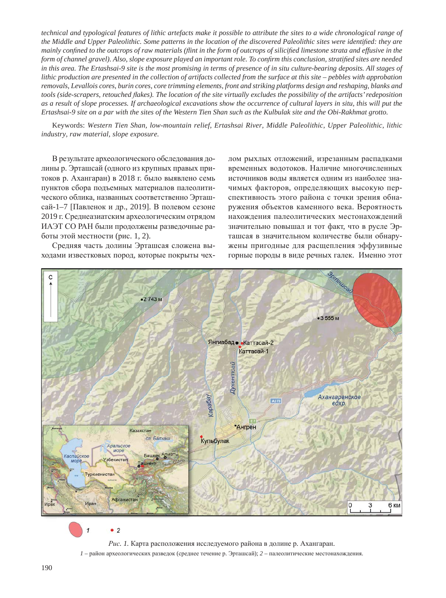*technical and typological features of lithic artefacts make it possible to attribute the sites to a wide chronological range of* the Middle and Upper Paleolithic. Some patterns in the location of the discovered Paleolithic sites were identified: they are *mainly confined to the outcrops of raw materials (flint in the form of outcrops of silicified limestone strata and effusive in the form of channel gravel). Also, slope exposure played an important role. To confirm this conclusion, stratified sites are needed* in this area. The Ertashsai-9 site is the most promising in terms of presence of in situ culture-bearing deposits. All stages of *lithic production are presented in the collection of artifacts collected from the surface at this site – pebbles with approbation removals, Levallois cores, burin cores, core trimming elements, front and striking platforms design and reshaping, blanks and tools (side-scrapers, retouched À akes). The location of the site virtually excludes the possibility of the artifacts' redeposition as a result of slope processes. If archaeological excavations show the occurrence of cultural layers in situ, this will put the Ertashsai-9 site on a par with the sites of the Western Tien Shan such as the Kulbulak site and the Obi-Rakhmat grotto.*

Keywords: *Western Tien Shan, low-mountain relief, Ertashsai River, Middle Paleolithic, Upper Paleolithic, lithic industry, raw material, slope exposure.*

В результате археологического обследования долины р. Эрташсай (одного из крупных правых притоков р. Ахангаран) в 2018 г. было выявлено семь пунктов сбора подъемных материалов палеолитического облика, названных соответственно Эрташсай-1–7 [Павленок и др., 2019]. В полевом сезоне 2019 г. Среднеазиатским археологическим отрядом ИАЭТ СО РАН были продолжены разведочные работы этой местности (рис. 1, 2).

Средняя часть долины Эрташсая сложена выходами известковых пород, которые покрыты чехлом рыхлых отложений, изрезанным распадками временных водотоков. Наличие многочисленных источников воды является одним из наиболее значимых факторов, определяющих высокую перспективность этого района с точки зрения обнаружения объектов каменного века. Вероятность нахождения палеолитических местонахождений значительно повышал и тот факт, что в русле Эрташсая в значительном количестве были обнаружены пригодные для расщепления эффузивные горные породы в виде речных галек. Именно этот



 $\bullet$  2 1

Рис. 1. Карта расположения исследуемого района в долине р. Ахангаран.

 $1$  – район археологических разведок (среднее течение р. Эрташсай); 2 – палеолитические местонахождения.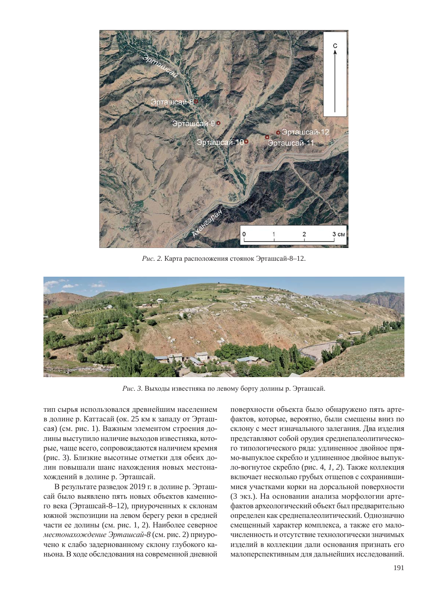

Рис. 2. Карта расположения стоянок Эрташсай-8–12.



Рис. 3. Выходы известняка по левому борту долины р. Эрташсай.

тип сырья использовался древнейшим населением в долине р. Каттасай (ок. 25 км к западу от Эрташсая) (см. рис. 1). Важным элементом строения долины выступило наличие выходов известняка, которые, чаще всего, сопровождаются наличием кремня (рис. 3). Близкие высотные отметки для обеих долин повышали шанс нахождения новых местонахождений в долине р. Эрташсай.

В результате разведок 2019 г. в долине р. Эрташсай было выявлено пять новых объектов каменного века (Эрташсай-8–12), приуроченных к склонам южной экспозиции на левом берегу реки в средней части ее долины (см. рис. 1, 2). Наиболее северное *местонахождение Эрташсай-8* (см. рис. 2) приурочено к слабо задернованному склону глубокого каньона. В ходе обследования на современной дневной

поверхности объекта было обнаружено пять артефактов, которые, вероятно, были смещены вниз по склону с мест изначального залегания. Два изделия представляют собой орудия среднепалеолитического типологического ряда: удлиненное двойное прямо-выпуклое скребло и удлиненное двойное выпукло-вогнутое скребло (рис. 4, 1, 2). Также коллекция включает несколько грубых отщепов с сохранившимися участками корки на дорсальной поверхности (3 экз.). На основании анализа морфологии артефактов археологический объект был предварительно определен как среднепалеолитический. Однозначно смещенный характер комплекса, а также его малочисленность и отсутствие технологически значимых изделий в коллекции дали основания признать его малоперспективным для дальнейших исследований.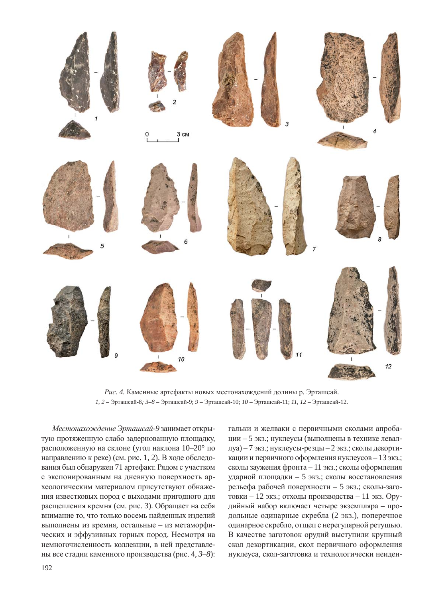

Рис. 4. Каменные артефакты новых местонахождений долины р. Эрташсай.  $1, 2$  – Эрташсай-8; 3–8 – Эрташсай-9; 9 – Эрташсай-10;  $10$  – Эрташсай-11;  $11, 12$  – Эрташсай-12.

Местонахождение Эрташсай-9 занимает открытую протяженную слабо задернованную площадку, расположенную на склоне (угол наклона 10–20° по направлению к реке) (см. рис. 1, 2). В ходе обследования был обнаружен 71 артефакт. Рядом с участком с экспонированным на дневную поверхность археологическим материалом присутствуют обнажения известковых пород с выходами пригодного для расщепления кремня (см. рис. 3). Обращает на себя внимание то, что только восемь найденных изделий выполнены из кремня, остальные – из метаморфических и эффузивных горных пород. Несмотря на немногочисленность коллекции, в ней представлены все стадии каменного производства (рис. 4, 3–8):

гальки и желваки с первичными сколами апробации – 5 экз.; нуклеусы (выполнены в технике леваллуа) – 7 экз.; нуклеусы-резцы – 2 экз.; сколы декортикации и первичного оформления нуклеусов - 13 экз.; сколы заужения фронта – 11 экз.; сколы оформления ударной площадки – 5 экз.; сколы восстановления рельефа рабочей поверхности – 5 экз.; сколы-заготовки – 12 экз.; отходы производства – 11 экз. Орудийный набор включает четыре экземпляра - продольные одинарные скребла (2 экз.), поперечное одинарное скребло, отщеп с нерегулярной ретушью. В качестве заготовок орудий выступили крупный скол декортикации, скол первичного оформления нуклеуса, скол-заготовка и технологически неиден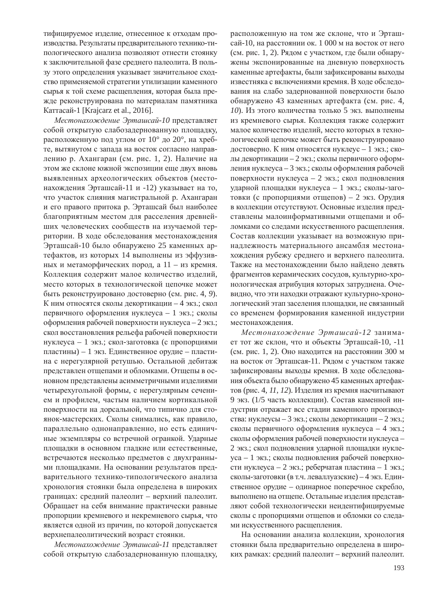тифицируемое изделие, отнесенное к отходам производства. Результаты предварительного технико-типологического анализа позволяют отнести стоянку к заключительной фазе среднего палеолита. В пользу этого определения указывает значительное сходство применяемой стратегии утилизации каменного сырья к той схеме расщепления, которая была прежде реконструирована по материалам памятника Каттасай-1 [Krajcarz et al., 2016].

Местонахождение Эрташсай-10 представляет собой открытую слабозадернованную площадку, расположенную под углом от  $10^{\circ}$  до  $20^{\circ}$ , на хребте, вытянутом с запада на восток согласно направдению р. Ахангаран (см. рис. 1, 2). Наличие на этом же склоне южной экспозиции еще двух вновь выявленных археологических объектов (местонахождения Эрташсай-11 и -12) указывает на то, что участок слияния магистральной р. Ахангаран и его правого притока р. Эрташсай был наиболее благоприятным местом для расселения древнейших человеческих сообществ на изучаемой территории. В ходе обследования местонахождения Эрташсай-10 было обнаружено 25 каменных артефактов, из которых 14 выполнены из эффузивных и метаморфических пород, а  $11 -$  из кремня. Коллекция содержит малое количество изделий, место которых в технологической цепочке может быть реконструировано достоверно (см. рис. 4, 9). К ним относятся сколы декортикации - 4 экз.; скол первичного оформления нуклеуса – 1 экз.; сколы оформления рабочей поверхности нуклеуса – 2 экз.; скол восстановления рельефа рабочей поверхности нуклеуса – 1 экз.; скол-заготовка (с пропорциями пластины) – 1 экз. Единственное орудие – пластина с нерегулярной ретушью. Остальной дебитаж представлен отщепами и обломками. Отщепы в основном представлены асимметричными изделиями четырехугольной формы, с нерегулярным сечением и профилем, частым наличием кортикальной поверхности на дорсальной, что типично для стоянок-мастерских. Сколы снимались, как правило, параллельно однонаправленно, но есть единичные экземпляры со встречной огранкой. Ударные площадки в основном гладкие или естественные, встречаются несколько предметов с двухгранными площадками. На основании результатов предварительного технико-типологического анализа хронология стоянки была определена в широких границах: средний палеолит – верхний палеолит. Обращает на себя внимание практически равные пропорции кремневого и некремневого сырья, что является одной из причин, по которой допускается верхнепалеолитический возраст стоянки.

Местонахождение Эрташсай-11 представляет собой открытую слабозадернованную площадку, расположенную на том же склоне, что и Эрташсай-10, на расстоянии ок. 1 000 м на восток от него (см. рис. 1, 2). Рядом с участком, где были обнаружены экспонированные на дневную поверхность каменные артефакты, были зафиксированы выходы известняка с включениями кремня. В ходе обследования на слабо задернованной поверхности было обнаружено 43 каменных артефакта (см. рис. 4, *10*). Из этого количества только 5 экз. выполнены из кремневого сырья. Коллекция также содержит малое количество изделий, место которых в технологической цепочке может быть реконструировано достоверно. К ним относятся нуклеус – 1 экз.; сколы декортикации – 2 экз.; сколы первичного оформления нуклеуса – 3 экз.; сколы оформления рабочей поверхности нуклеуса – 2 экз.; скол подновления ударной площадки нуклеуса - 1 экз.; сколы-заготовки (с пропорциями отщепов) – 2 экз. Орудия в коллекции отсутствуют. Основные изделия представлены малоинформативными отщепами и обломками со следами искусственного расщепления. Состав коллекции указывает на возможную принадлежность материального ансамбля местонахождения рубежу среднего и верхнего палеолита. Также на местонахождении было найдено девять фрагментов керамических сосудов, культурно-хронологическая атрибуция которых затруднена. Очевидно, что эти находки отражают культурно-хронологический этап заселения площадки, не связанный со временем формирования каменной индустрии местонахождения.

Местонахождение Эрташсай-12 занимает тот же склон, что и объекты Эрташсай-10, -11 (см. рис. 1, 2). Оно находится на расстоянии 300 м на восток от Эрташсая-11. Рядом с участком также зафиксированы выходы кремня. В ходе обследования объекта было обнаружено 45 каменных артефактов (рис. 4, *11*, *12*). Изделия из кремня насчитывают 9 экз. (1/5 часть коллекции). Состав каменной индустрии отражает все стадии каменного производства: нуклеусы – 3 экз.; сколы декортикации – 2 экз.; сколы первичного оформления нуклеуса – 4 экз.; сколы оформления рабочей поверхности нуклеуса – 2 экз.; скол подновления ударной площадки нуклеуса – 1 экз.; сколы подновления рабочей поверхности нуклеуса – 2 экз.; реберчатая пластина – 1 экз.; сколы-заготовки (в т.ч. леваллуазские) – 4 экз. Единственное орудие – одинарное поперечное скребло, выполнено на отщепе. Остальные изделия представляют собой технологически неидентифицируемые сколы с пропорциями отщепов и обломки со следами искусственного расщепления.

На основании анализа коллекции, хронология стоянки была предварительно определена в широких рамках: средний палеолит – верхний палеолит.